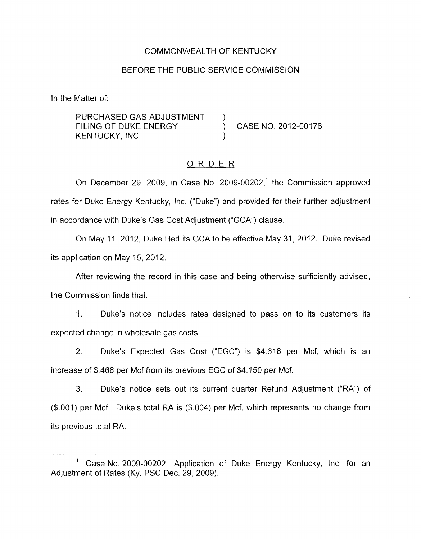### COMMONWEALTH OF KENTUCKY

### BEFORE THE PUBLIC SERVICE COMMISSION

In the Matter of:

PURCHASED GAS ADJUSTMENT FILING OF DUKE ENERGY (CASE NO. 2012-00176 KENTUCKY, INC.

### ORDER

On December 29, 2009, in Case No. 2009-00202,' the Commission approved rates for Duke Energy Kentucky, Inc. ("Duke") and provided for their further adjustment in accordance with Duke's Gas Cost Adjustment ("GCA") clause.

On May 11, 2012, Duke filed its GCA to be effective May 31, 2012. Duke revised its application on May 15, 2012.

After reviewing the record in this case and being otherwise sufficiently advised, the Commission finds that:

1. Duke's notice includes rates designed to pass on to its customers its expected change in wholesale gas costs.

2. Duke's Expected Gas Cost ("EGC") is \$4.618 per Mcf, which is an increase of \$.468 per Mcf from its previous EGC of \$4.150 per Mcf.

3. Duke's notice sets out its current quarter Refund Adjustment ("RA") of (\$.OOl) per Mcf. Duke's total RA is (\$.004) per Mcf, which represents no change from its previous total RA.

Case No. 2009-00202, Application of Duke Energy Kentucky, Inc. for an 1 Adjustment of Rates (Ky. PSC Dec. 29, 2009).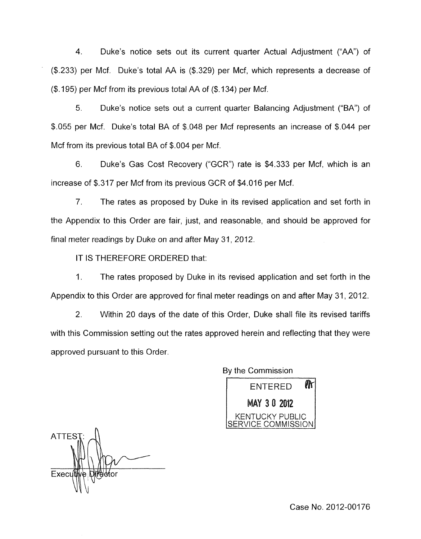4. Duke's notice sets out its current quarter Actual Adjustment ("AA") of (\$.233) per Mcf. Duke's total AA is (\$.329) per Mcf, which represents a decrease of (\$. 195) per Mcf from its previous total AA of (\$. 134) per Mcf.

5. Duke's notice sets out a current quarter Balancing Adjustment ("BA'') of *\$.055* per Mcf. Duke's total BA of \$.048 per Mcf represents an increase of \$.044 per Mcf from its previous total BA of \$.004 per Mcf.

6. Duke's Gas Cost Recovery ("GCR'') rate is \$4.333 per Mcf, which is an increase of \$.317 per Mcf from its previous GCR of \$4.016 per Mcf.

*7.* The rates as proposed by Duke in its revised application and set forth in the Appendix to this Order are fair, just, and reasonable, and should be approved for final meter readings by Duke on and after May 31, 2012.

IT IS THEREFORE ORDERED that:

1. The rates proposed by Duke in its revised application and set forth in the Appendix to this Order are approved for final meter readings on and after May 31, 2012.

Within 20 days of the date of this Order, Duke shall file its revised tariffs with this Commission setting out the rates approved herein and reflecting that they were approved pursuant to this Order. 2.

> By the Commission ⋒ ENTERED MAY 30 2012 KENTUCKY PUBLIC ERVICE COMMISSION

**ATTES** Exec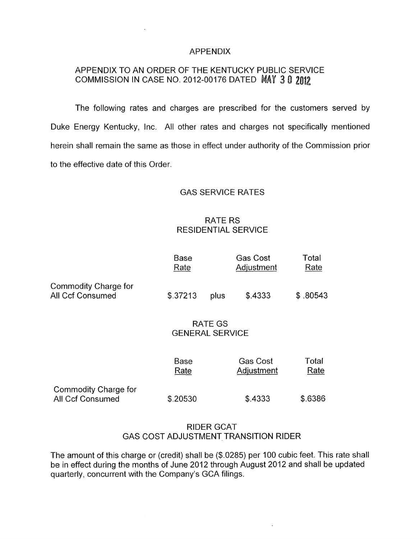### APPENDIX

# APPENDIX TO AN ORDER OF THE KENTUCKY PUBLIC SERVICE COMMISSION IN CASE NO. 2012-00176 DATED 3

The following rates and charges are prescribed for the customers served by Duke Energy Kentucky, Inc. All other rates and charges not specifically mentioned herein shall remain the same as those in effect under authority of the Commission prior to the effective date of this Order.

#### GAS SERVICE RATES

# RATE RS **RESIDENTIAL SERVICE**

|                                                 | <b>Base</b><br>Rate               |      | <b>Gas Cost</b><br>Adjustment | Total<br>Rate |
|-------------------------------------------------|-----------------------------------|------|-------------------------------|---------------|
| Commodity Charge for<br><b>All Ccf Consumed</b> | \$.37213                          | plus | \$.4333                       | \$.80543      |
|                                                 | RATE GS<br><b>GENERAL SERVICE</b> |      |                               |               |
|                                                 | Base<br>Rate                      |      | <b>Gas Cost</b><br>Adjustment | Total<br>Rate |
| Commodity Charge for<br>All Ccf Consumed        | \$.20530                          |      | \$.4333                       | \$.6386       |

## RIDER GCAT GAS COST ADJUSTMENT TRANSITION RIDER

The amount of this charge or (credit) shall be (\$.0285) per 100 cubic feet. This rate shall be in effect during the months of June 2012 through August 2012 and shall be updated quarterly, concurrent with the Company's GCA filings.